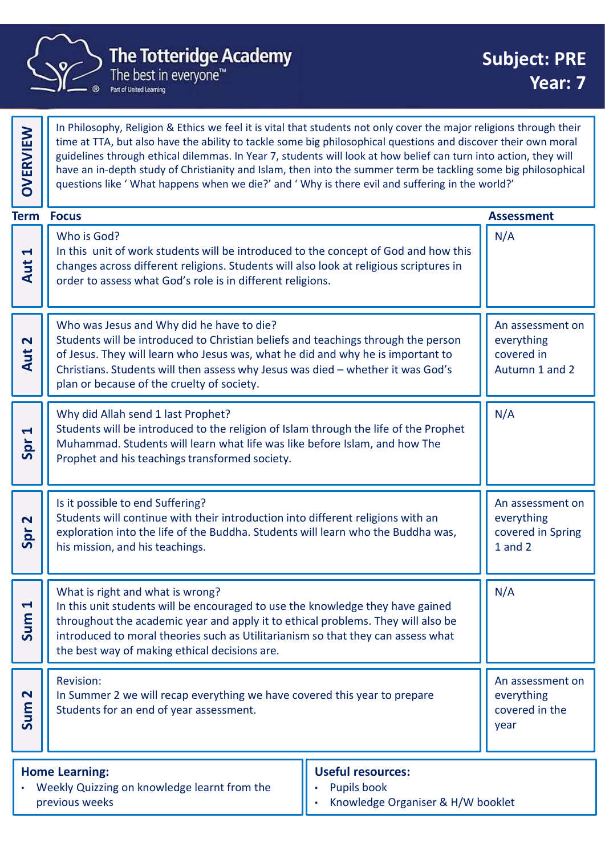

In Philosophy, Religion & Ethics we feel it is vital that students not only cover the major religions through their time at TTA, but also have the ability to tackle some big philosophical questions and discover their own moral guidelines through ethical dilemmas. In Year 7, students will look at how belief can turn into action, they will have an in-depth study of Christianity and Islam, then into the summer term be tackling some big philosophical The Philosophy, Religion & Ethics we reel it is vital that students not only cover the major religions through their<br>time at TTA, but also have the ability to tackle some big philosophical questions and discover their own Who is God? In this unit of work students will be introduced to the concept of God and how this changes across different religions. Students will also look at religious scriptures in order to assess what God's role is in different religions. N/A The Totteridge Academy<br>
The best in everyone<sup>The</sup><br>
The best in everyone<sup>The</sup><br>
The best in everyone<sup>The</sup><br>
The best in everyone<sup>The</sup><br>
In Philosophy, Religion & Ethics we feel it is vital that students no<br>
guidelines through Who was Jesus and Why did he have to die? Students will be introduced to Christian beliefs and teachings through the person of Jesus. They will learn who Jesus was, what he did and why he is important to  $\|\cdot\|$  covered in In Philosophy, Religion & Ethics we feel it is vital that students not only cover the major religions through their<br>
time at TTA, but also have the ability to tackle some big philosophical questions and discover their own plan or because of the cruelty of society. An assessment on everything Cover the major religions through their<br>
so extitude the solid of the solid server is that students not only cover the major religions through their<br>
star TA, but also have the ability to tackle some big philosophical ques Why did Allah send 1 last Prophet? Students will be introduced to the religion of Islam through the life of the Prophet Muhammad. Students will learn what life was like before Islam, and how The Prophet and his teachings transformed society. N/A **Example 18 Analysis**<br> **Example 18 Analysis (What happens when we die?' and ' Why is there**<br> **Examples 18 Analysis (Who is God?**<br>
In this unit of work students will be introduced to the concept<br>
changes across different re Is it possible to end Suffering? Students will continue with their introduction into different religions with an exploration into the life of the Buddha. Students will learn who the Buddha was,  $\|\cdot\|$  covered in Spring his mission, and his teachings. An assessment on everything Conder to assess omerent religions. Students will an above at religions scriptures in<br>
Structures to assess what God's role is in different religions.<br>
Structures in the introduced to Christian beliefs and teachings throug What is right and what is wrong? In this unit students will be encouraged to use the knowledge they have gained throughout the academic year and apply it to ethical problems. They will also be  $\|\cdot\|$ introduced to moral theories such as Utilitarianism so that they can assess what the best way of making ethical decisions are. N/A  $\begin{array}{c}\n\mathbf{S} \\
\mathbf{S} \\
\mathbf{S}\n\end{array}$  on this unit students will be e<br>throughout the academic year. Revision: In Summer 2 we will recap everything we have covered this year to prepare<br>
Summer 2 we will recap everything we have covered this year to prepare<br>
Summer 2 we will recap everything we have covered this year of the students Students for an end of year assessment. An assessment on everything The Totteridge Academy<br>
The Totteridge Academy<br>
The best in everyone"<br>
The heat in everyone"<br>
The heat in everyone"<br>
The heat in everyone"<br>
The best in everyone"<br>
The best in everyone"<br>
The best in everyone"<br>
The best in e **Term Focus** 

| <b>Home Learning:</b>                        | Useful resources:                 |
|----------------------------------------------|-----------------------------------|
| Weekly Quizzing on knowledge learnt from the | <b>Pupils book</b>                |
| previous weeks                               | Knowledge Organiser & H/W booklet |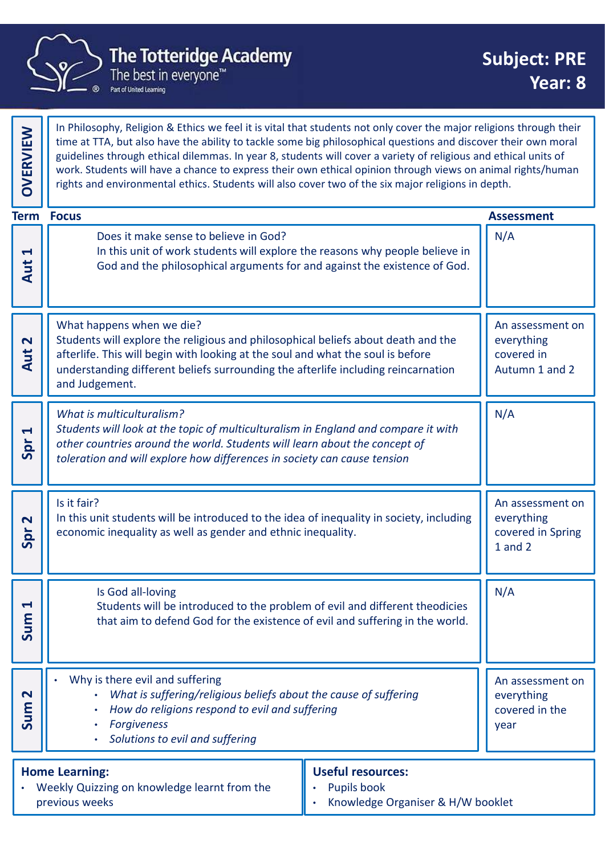

|                                | <b>The Totteridge Academy</b><br>The best in everyone <sup>™</sup><br>Part of United Learning                                                                                                                                                                                                                                                                                                                                                                                                                                                                                 | <b>Subject: PRE</b><br>Year: 8                                     |
|--------------------------------|-------------------------------------------------------------------------------------------------------------------------------------------------------------------------------------------------------------------------------------------------------------------------------------------------------------------------------------------------------------------------------------------------------------------------------------------------------------------------------------------------------------------------------------------------------------------------------|--------------------------------------------------------------------|
| <b>OVERVIEW</b>                | In Philosophy, Religion & Ethics we feel it is vital that students not only cover the major religions through their<br>time at TTA, but also have the ability to tackle some big philosophical questions and discover their own moral<br>guidelines through ethical dilemmas. In year 8, students will cover a variety of religious and ethical units of<br>work. Students will have a chance to express their own ethical opinion through views on animal rights/human<br>rights and environmental ethics. Students will also cover two of the six major religions in depth. |                                                                    |
|                                | <b>Term Focus</b>                                                                                                                                                                                                                                                                                                                                                                                                                                                                                                                                                             | <b>Assessment</b>                                                  |
| $\blacktriangleleft$<br>Aut    | Does it make sense to believe in God?<br>In this unit of work students will explore the reasons why people believe in<br>God and the philosophical arguments for and against the existence of God.                                                                                                                                                                                                                                                                                                                                                                            | N/A                                                                |
| $\overline{\mathbf{N}}$<br>Aut | What happens when we die?<br>Students will explore the religious and philosophical beliefs about death and the<br>afterlife. This will begin with looking at the soul and what the soul is before<br>understanding different beliefs surrounding the afterlife including reincarnation<br>and Judgement.                                                                                                                                                                                                                                                                      | An assessment on<br>everything<br>covered in<br>Autumn 1 and 2     |
| $\blacktriangleright$<br>Spr   | What is multiculturalism?<br>Students will look at the topic of multiculturalism in England and compare it with<br>other countries around the world. Students will learn about the concept of<br>toleration and will explore how differences in society can cause tension                                                                                                                                                                                                                                                                                                     | N/A                                                                |
| $\mathbf N$<br>Spr             | Is it fair?<br>In this unit students will be introduced to the idea of inequality in society, including<br>economic inequality as well as gender and ethnic inequality.                                                                                                                                                                                                                                                                                                                                                                                                       | An assessment on<br>everything<br>covered in Spring<br>$1$ and $2$ |
| $\blacktriangleleft$<br>Sum    | Is God all-loving<br>Students will be introduced to the problem of evil and different theodicies<br>that aim to defend God for the existence of evil and suffering in the world.                                                                                                                                                                                                                                                                                                                                                                                              | N/A                                                                |
| $\mathbf{\Omega}$<br>Sum       | Why is there evil and suffering<br>What is suffering/religious beliefs about the cause of suffering<br>How do religions respond to evil and suffering<br><b>Forgiveness</b><br>Solutions to evil and suffering                                                                                                                                                                                                                                                                                                                                                                | An assessment on<br>everything<br>covered in the<br>year           |
|                                | <b>Home Learning:</b><br><b>Useful resources:</b><br>Weekly Quizzing on knowledge learnt from the<br>Pupils book<br>previous weeks<br>Knowledge Organiser & H/W booklet                                                                                                                                                                                                                                                                                                                                                                                                       |                                                                    |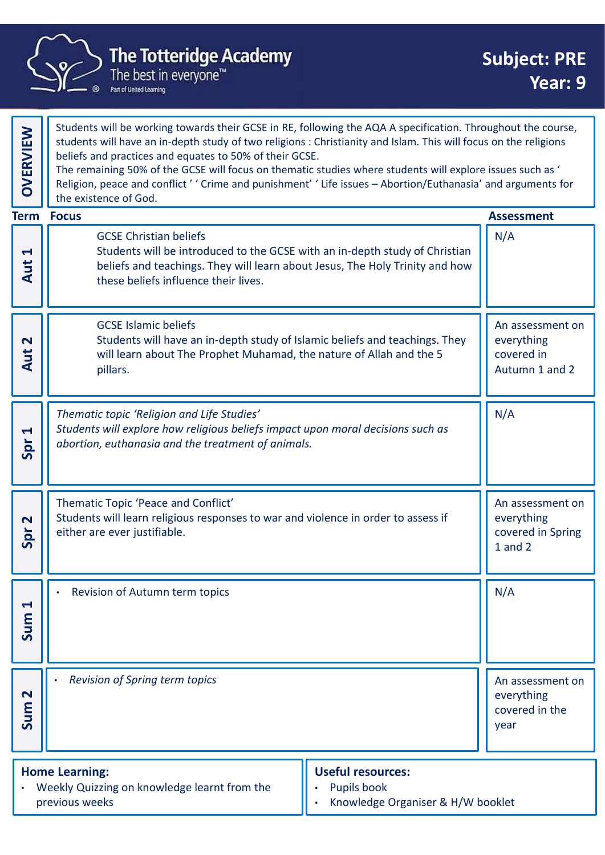

|                             | <b>The Totteridge Academy</b><br>The best in everyone <sup>™</sup><br>Part of United Learning                                                                                                                                                                                                                                                                                                                                                                                                                                                   | <b>Subject: PRE</b><br>Year: 9                                 |
|-----------------------------|-------------------------------------------------------------------------------------------------------------------------------------------------------------------------------------------------------------------------------------------------------------------------------------------------------------------------------------------------------------------------------------------------------------------------------------------------------------------------------------------------------------------------------------------------|----------------------------------------------------------------|
| <b>OVERVIEW</b>             | Students will be working towards their GCSE in RE, following the AQA A specification. Throughout the course,<br>students will have an in-depth study of two religions : Christianity and Islam. This will focus on the religions<br>beliefs and practices and equates to 50% of their GCSE.<br>The remaining 50% of the GCSE will focus on thematic studies where students will explore issues such as '<br>Religion, peace and conflict'' Crime and punishment' 'Life issues - Abortion/Euthanasia' and arguments for<br>the existence of God. |                                                                |
| $\blacktriangleleft$<br>Aut | <b>Term Focus</b><br><b>GCSE Christian beliefs</b><br>Students will be introduced to the GCSE with an in-depth study of Christian<br>beliefs and teachings. They will learn about Jesus, The Holy Trinity and how<br>these beliefs influence their lives.                                                                                                                                                                                                                                                                                       | <b>Assessment</b><br>N/A                                       |
| $\mathbf{\Omega}$<br>Aut    | <b>GCSE Islamic beliefs</b><br>Students will have an in-depth study of Islamic beliefs and teachings. They<br>will learn about The Prophet Muhamad, the nature of Allah and the 5<br>pillars.                                                                                                                                                                                                                                                                                                                                                   | An assessment on<br>everything<br>covered in<br>Autumn 1 and 2 |
| $\blacktriangleleft$<br>Spr | Thematic topic 'Religion and Life Studies'<br>Students will explore how religious beliefs impact upon moral decisions such as<br>abortion, euthanasia and the treatment of animals.                                                                                                                                                                                                                                                                                                                                                             | N/A                                                            |
| $\mathbf{\Omega}$<br>Spr    | Thematic Topic 'Peace and Conflict'<br>Students will learn religious responses to war and violence in order to assess if<br>either are ever justifiable.                                                                                                                                                                                                                                                                                                                                                                                        | An assessment on<br>everything<br>covered in Spring<br>1 and 2 |
| $\blacktriangleleft$<br>Sum | Revision of Autumn term topics                                                                                                                                                                                                                                                                                                                                                                                                                                                                                                                  | N/A                                                            |
| $\mathbf{\Omega}$<br>Sum    | Revision of Spring term topics                                                                                                                                                                                                                                                                                                                                                                                                                                                                                                                  | An assessment on<br>everything<br>covered in the<br>year       |
|                             | <b>Useful resources:</b><br><b>Home Learning:</b><br>Weekly Quizzing on knowledge learnt from the<br>Pupils book<br>previous weeks<br>Knowledge Organiser & H/W booklet                                                                                                                                                                                                                                                                                                                                                                         |                                                                |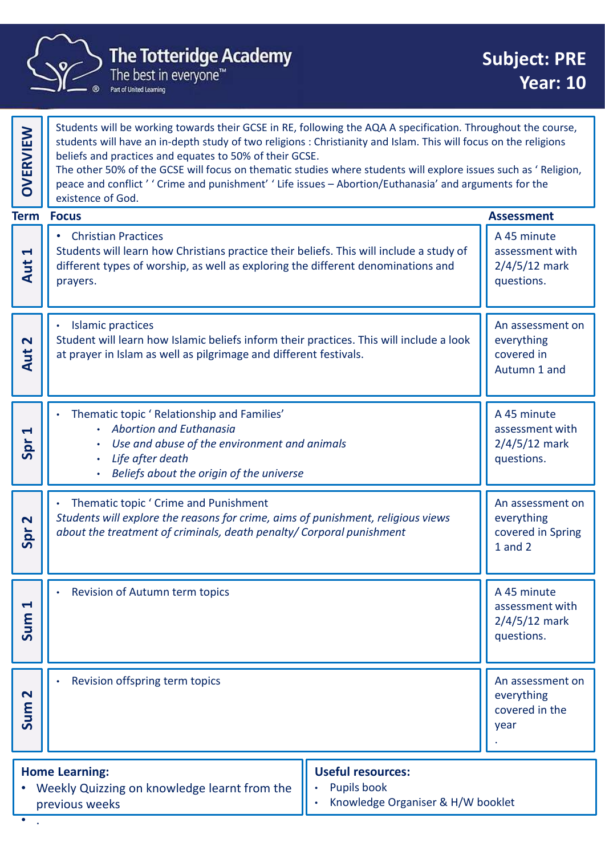

|                                             | <b>The Totteridge Academy</b><br>The best in everyone <sup>™</sup><br>Part of United Learning                                                                                                                                                                                                                                                                                                                                                                                                                                                 | <b>Subject: PRE</b><br><b>Year: 10</b>                          |
|---------------------------------------------|-----------------------------------------------------------------------------------------------------------------------------------------------------------------------------------------------------------------------------------------------------------------------------------------------------------------------------------------------------------------------------------------------------------------------------------------------------------------------------------------------------------------------------------------------|-----------------------------------------------------------------|
| OVERVIEW                                    | Students will be working towards their GCSE in RE, following the AQA A specification. Throughout the course,<br>students will have an in-depth study of two religions : Christianity and Islam. This will focus on the religions<br>beliefs and practices and equates to 50% of their GCSE.<br>The other 50% of the GCSE will focus on thematic studies where students will explore issues such as 'Religion,<br>peace and conflict ' ' Crime and punishment' ' Life issues - Abortion/Euthanasia' and arguments for the<br>existence of God. |                                                                 |
|                                             | <b>Term Focus</b>                                                                                                                                                                                                                                                                                                                                                                                                                                                                                                                             | <b>Assessment</b>                                               |
| $\blacktriangleleft$<br>Aut                 | <b>Christian Practices</b><br>$\bullet$<br>Students will learn how Christians practice their beliefs. This will include a study of<br>different types of worship, as well as exploring the different denominations and<br>prayers.                                                                                                                                                                                                                                                                                                            | A 45 minute<br>assessment with<br>$2/4/5/12$ mark<br>questions. |
| $\mathbf N$<br>Aut                          | <b>Islamic practices</b><br>Student will learn how Islamic beliefs inform their practices. This will include a look<br>at prayer in Islam as well as pilgrimage and different festivals.                                                                                                                                                                                                                                                                                                                                                      | An assessment on<br>everything<br>covered in<br>Autumn 1 and    |
| $\blacktriangleleft$<br>$\overline{a}$<br>5 | Thematic topic ' Relationship and Families'<br>• Abortion and Euthanasia<br>Use and abuse of the environment and animals<br>Life after death<br>Beliefs about the origin of the universe                                                                                                                                                                                                                                                                                                                                                      | A 45 minute<br>assessment with<br>$2/4/5/12$ mark<br>questions. |
| $\mathbf{\Omega}$<br>Spr                    | Thematic topic ' Crime and Punishment<br>Students will explore the reasons for crime, aims of punishment, religious views<br>about the treatment of criminals, death penalty/ Corporal punishment                                                                                                                                                                                                                                                                                                                                             | An assessment on<br>everything<br>covered in Spring<br>1 and 2  |
| $\blacktriangleleft$<br>Sum                 | Revision of Autumn term topics                                                                                                                                                                                                                                                                                                                                                                                                                                                                                                                | A 45 minute<br>assessment with<br>$2/4/5/12$ mark<br>questions. |
| $\mathbf N$<br>Sum                          | Revision offspring term topics                                                                                                                                                                                                                                                                                                                                                                                                                                                                                                                | An assessment on<br>everything<br>covered in the<br>year        |
|                                             | <b>Useful resources:</b><br><b>Home Learning:</b><br>• Weekly Quizzing on knowledge learnt from the<br>Pupils book<br>Knowledge Organiser & H/W booklet<br>previous weeks                                                                                                                                                                                                                                                                                                                                                                     |                                                                 |